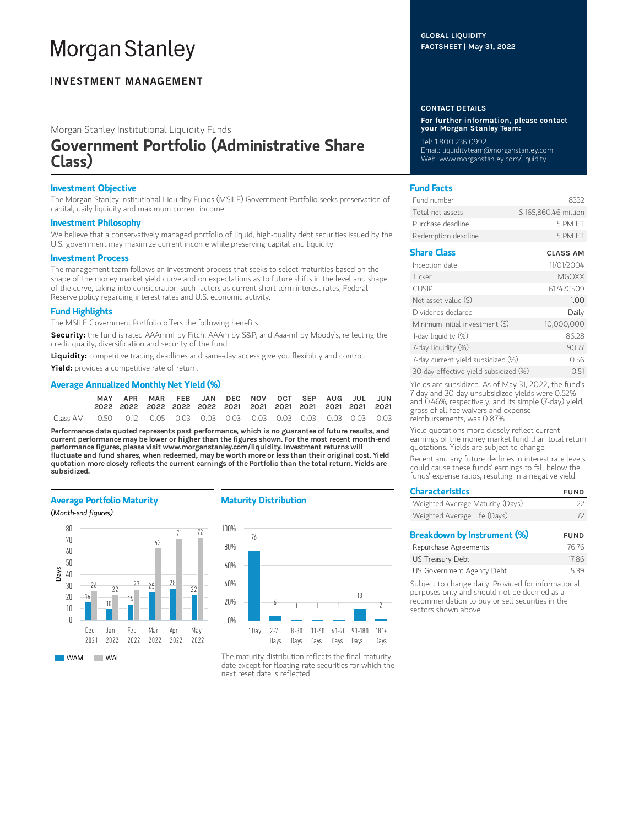# **Morgan Stanley**

## **INVESTMENT MANAGEMENT**

Morgan Stanley Institutional Liquidity Funds

# Government Portfolio (Administrative Share Class)

#### Investment Objective

The Morgan Stanley Institutional Liquidity Funds (MSILF) Government Portfolio seeks preservation of capital, daily liquidity and maximum current income.

#### Investment Philosophy

We believe that a conservatively managed portfolio of liquid, high-quality debt securities issued by the U.S. government may maximize current income while preserving capital and liquidity.

#### Investment Process

The management team follows an investment process that seeks to select maturities based on the shape of the money market yield curve and on expectations as to future shifts in the level and shape of the curve, taking into consideration such factors as current short-term interest rates, Federal Reserve policy regarding interest rates and U.S. economic activity.

#### Fund Highlights

The MSILF Government Portfolio offers the following benefits:

Security: the fund is rated AAAmmf by Fitch, AAAm by S&P, and Aaa-mf by Moody's, reflecting the credit quality, diversification and security of the fund.

Liquidity: competitive trading deadlines and same-day access give you flexibility and control.

Yield: provides a competitive rate of return.

#### Average Annualized Monthly Net Yield (%)

|  | APR MAR FEB JAN DEC NOV OCT SEP AUG JUL JUN |  |  |  |  |  |
|--|---------------------------------------------|--|--|--|--|--|
|  |                                             |  |  |  |  |  |

Performance data quoted represents past performance, which is no guarantee of future results, and current performance may be lower or higher than the figures shown. For the most recent month-end performance figures, please visit www.morganstanley.com/liquidity. Investment returns will fluctuate and fund shares, when redeemed, may be worth more or less than their original cost. Yield quotation more closely reflects the current earnings of the Portfolio than the total return. Yields are subsidized.

#### Average Portfolio Maturity

(Month-end figures)



#### Maturity Distribution



The maturity distribution reflects the final maturity date except for floating rate securities for which the next reset date is reflected.

#### GLOBAL LIQUIDITY FACTSHEET | May 31, 2022

#### CONTACT DETAILS

For further information, please contact your Morgan Stanley Team:

Tel: 1.800.236.0992 Email: liquidityteam@morganstanley.com Web: www.morganstanley.com/liquidity

#### Fund Facts

| Fund number         | 8332                 |
|---------------------|----------------------|
| Total net assets    | \$165,860,46 million |
| Purchase deadline.  | 5 PM FT              |
| Redemption deadline | 5 PM FT              |

### Share Class CLASS AM

| Inception date                        | 11/01/2004   |
|---------------------------------------|--------------|
| Ticker                                | <b>MGOXX</b> |
| <b>CUSIP</b>                          | 61747C509    |
| Net asset value (\$)                  | 1.00         |
| Dividends declared                    | Daily        |
| Minimum initial investment (\$)       | 10,000,000   |
| 1-day liquidity (%)                   | 86.28        |
| 7-day liquidity (%)                   | 90.77        |
| 7-day current yield subsidized (%)    | 0.56         |
| 30-day effective yield subsidized (%) | 051          |

Yields are subsidized. As of May 31, 2022, the fund's 7 day and 30 day unsubsidized yields were 0.52% and 0.46%, respectively, and its simple (7-day) yield, gross of all fee waivers and expense reimbursements, was 0.87%.

Yield quotations more closely reflect current earnings of the money market fund than total return quotations. Yields are subject to change.

Recent and any future declines in interest rate levels could cause these funds' earnings to fall below the funds' expense ratios, resulting in a negative yield.

| <b>Characteristics</b>           | <b>FUND</b> |
|----------------------------------|-------------|
| Weighted Average Maturity (Days) | フフ          |
| Weighted Average Life (Days)     | 72          |
| Breakdown by Instrument (%)      | <b>FUND</b> |
|                                  |             |

| Repurchase Agreements     | 76.76 |
|---------------------------|-------|
| US Treasury Debt          | 17.86 |
| US Government Agency Debt | 5.39  |

Subject to change daily. Provided for informational purposes only and should not be deemed as a recommendation to buy or sell securities in the sectors shown above.